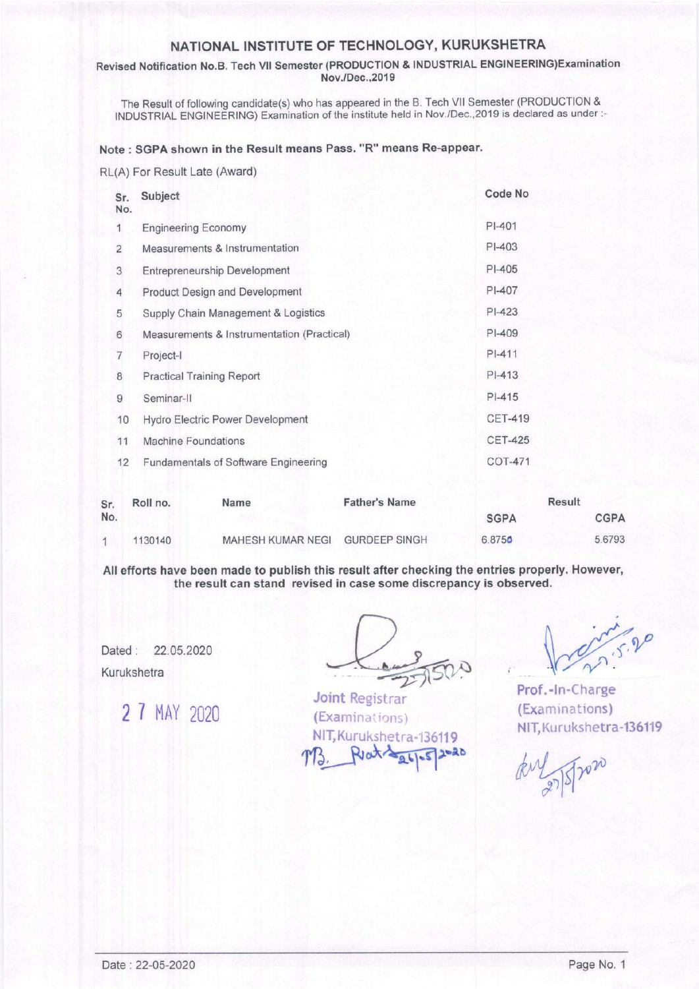# NATIONAL INSTITUTE OF TECHNOLOGY, KURUKSHETRA

### Revised Notification No.B. Tech Vll Semester (PRODUCTION & INDUSTRIAL ENGINEERING)Examination Nov./Dec.,2019

The Result of following candidate(s) who has appeared in the B. Tech VII Semester (PRODUCTION & INDUSTRIAL ENGINEERING) Examination of the institute held in Nov./Dec.,2019 is declared as under:-

## Note : SGPA shown in the Result means Pass. "R" means Re-appear'

#### RL(A) For Result Late (Award)

| Sr.<br>No. | Subject                                    | Code No        |
|------------|--------------------------------------------|----------------|
| 1          | <b>Engineering Economy</b>                 | $PI-401$       |
| 2          | Measurements & Instrumentation             | PI-403         |
| 3          | Entrepreneurship Development               | $PI-405$       |
| 4          | <b>Product Design and Development</b>      | PI-407         |
| 5          | Supply Chain Management & Logistics        | $PI-423$       |
| 6          | Measurements & Instrumentation (Practical) | $P$ $-409$     |
| 7          | Project-I                                  | $P$ -411       |
| 8          | <b>Practical Training Report</b>           | $P$ -413       |
| 9          | Seminar-II                                 | $PI-415$       |
| 10         | <b>Hydro Electric Power Development</b>    | <b>CET-419</b> |
| 11         | <b>Machine Foundations</b>                 | <b>CET-425</b> |
| 12         | Fundamentals of Software Engineering       | <b>COT-471</b> |

| Sr.<br>No. | Roll no. | Name                            | <b>Father's Name</b> | Result      |             |
|------------|----------|---------------------------------|----------------------|-------------|-------------|
|            |          |                                 |                      | <b>SGPA</b> | <b>CGPA</b> |
|            | 1130140  | MAHESH KUMAR NEGI GURDEEP SINGH |                      | 6.8750      | 5.6793      |

All efforts have been made to publish this result after checking the entries properly. However, the result can stand revised in case some discrepancy is observed.

Dated: 22.05.2020 Kurukshetra

2 7 MAY 2020

Joint Registrar (Examinations) NIT. Kurukshetra-136119

Tip

Prof.-ln-Charge (Examinations) NlT, Kurukshetra-136119

 $773.$  Reat  $445-57200$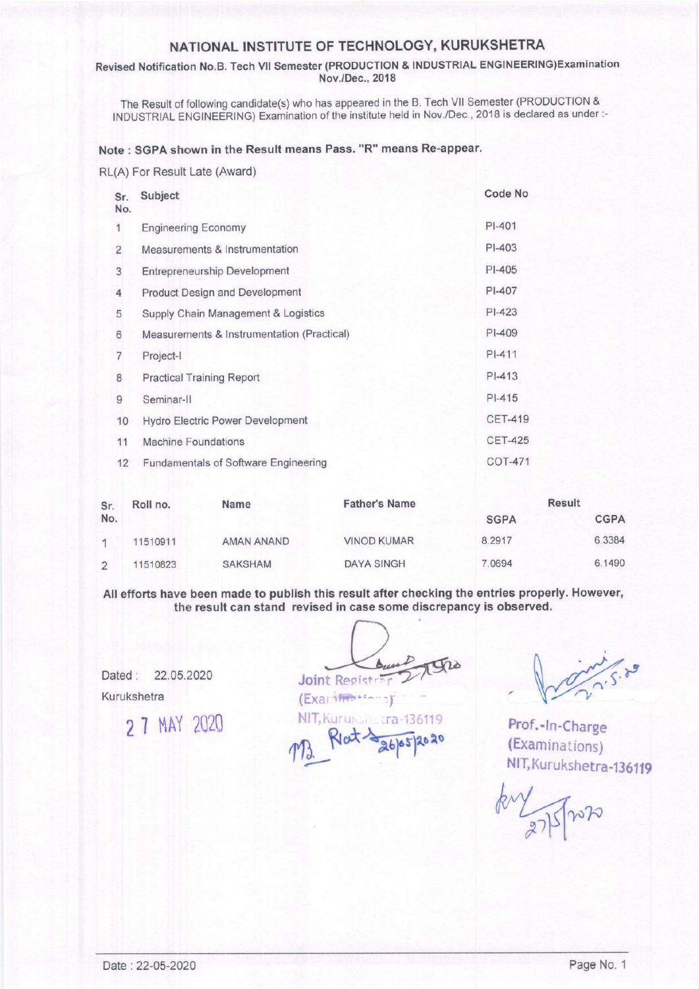# NATIONAL INSTITUTE OF TECHNOLOGY, KURUKSHETRA

#### Revised Notification No.B. Tech VII Semester (PRODUCTION & INDUSTRIAL ENGINEERING) Examination Nov./Dec., 2018

The Result of following candidate(s) who has appeared in the B. Tech VII Semester (PRODUCTION & INDUSTRIAL ENGINEERING) Examination of the institute held in Nov./Dec., 2018 is declared as under :-

### Note: SGPA shown in the Result means Pass. "R" means Re-appear.

#### RL(A) For Result Late (Award)

| Sr.<br>No.     | Subject                                     | Code No        |
|----------------|---------------------------------------------|----------------|
| 1              | <b>Engineering Economy</b>                  | $PI-401$       |
| $\overline{2}$ | Measurements & Instrumentation              | $PI-403$       |
| 3              | <b>Entrepreneurship Development</b>         | $PI-405$       |
| 4              | <b>Product Design and Development</b>       | PI-407         |
| 5              | Supply Chain Management & Logistics         | $PI-423$       |
| 6              | Measurements & Instrumentation (Practical)  | PI-409         |
| 7              | Project-I                                   | $PI-411$       |
| 8              | <b>Practical Training Report</b>            | $PI-413$       |
| 9              | Seminar-II                                  | $PI-415$       |
| 10             | Hydro Electric Power Development            | <b>CET-419</b> |
| 11             | Machine Foundations                         | <b>CET-425</b> |
| 12             | <b>Fundamentals of Software Engineering</b> | <b>COT-471</b> |

| Sr.           | Roll no. | Name           | <b>Father's Name</b> | <b>Result</b> |             |
|---------------|----------|----------------|----------------------|---------------|-------------|
| No.           |          |                |                      | <b>SGPA</b>   | <b>CGPA</b> |
|               | 11510911 | AMAN ANAND     | <b>VINOD KUMAR</b>   | 8.2917        | 6.3384      |
| $\mathcal{D}$ | 11510823 | <b>SAKSHAM</b> | <b>DAYA SINGH</b>    | 7.0694        | 6.1490      |

All efforts have been made to publish this result after checking the entries properly. However, the result can stand revised in case some discrepancy is observed.

Dated: 22.05.2020 Kurukshetra

2 7 MAY 2020

Joint Registr (Examinessee) NIT, Kuruksing tra-136119

Prof.-In-Charge (Examinations) NIT, Kurukshetra-136119

nik